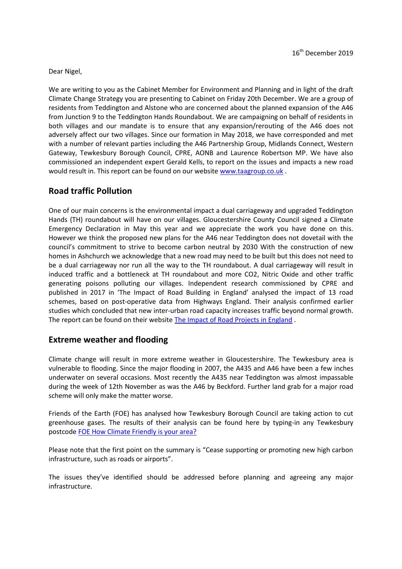Dear Nigel,

We are writing to you as the Cabinet Member for Environment and Planning and in light of the draft Climate Change Strategy you are presenting to Cabinet on Friday 20th December. We are a group of residents from Teddington and Alstone who are concerned about the planned expansion of the A46 from Junction 9 to the Teddington Hands Roundabout. We are campaigning on behalf of residents in both villages and our mandate is to ensure that any expansion/rerouting of the A46 does not adversely affect our two villages. Since our formation in May 2018, we have corresponded and met with a number of relevant parties including the A46 Partnership Group, Midlands Connect, Western Gateway, Tewkesbury Borough Council, CPRE, AONB and Laurence Robertson MP. We have also commissioned an independent expert Gerald Kells, to report on the issues and impacts a new road would result in. This report can be found on our website [www.taagroup.co.uk](https://urldefense.proofpoint.com/v2/url?u=http-3A__www.taagroup.co.uk&d=DwMFaQ&c=vFIsXp4NTuVIY_cuHtY4gQ&r=rLC3pbjyV5CFYfORJqKm9tYr4EttSa4kg8G_NtSKdwk&m=-1ojEUEjovocVpBaAPri2qEMlcq1uaUttcW4M_k6Rc0&s=M_fW1uN_VU-R9uIFODEyCScEn2v76VjqUdz5Ys6OgTE&e=) .

# **Road traffic Pollution**

One of our main concerns is the environmental impact a dual carriageway and upgraded Teddington Hands (TH) roundabout will have on our villages. Gloucestershire County Council signed a Climate Emergency Declaration in May this year and we appreciate the work you have done on this. However we think the proposed new plans for the A46 near Teddington does not dovetail with the council's commitment to strive to become carbon neutral by 2030 With the construction of new homes in Ashchurch we acknowledge that a new road may need to be built but this does not need to be a dual carriageway nor run all the way to the TH roundabout. A dual carriageway will result in induced traffic and a bottleneck at TH roundabout and more CO2, Nitric Oxide and other traffic generating poisons polluting our villages. Independent research commissioned by CPRE and published in 2017 in 'The Impact of Road Building in England' analysed the impact of 13 road schemes, based on post-operative data from Highways England. Their analysis confirmed earlier studies which concluded that new inter-urban road capacity increases traffic beyond normal growth. The report can be found on their website [The Impact of Road Projects in England](https://www.cpre.org.uk/resources/the-impact-of-road-projects-in-england/) .

#### **Extreme weather and flooding**

Climate change will result in more extreme weather in Gloucestershire. The Tewkesbury area is vulnerable to flooding. Since the major flooding in 2007, the A435 and A46 have been a few inches underwater on several occasions. Most recently the A435 near Teddington was almost impassable during the week of 12th November as was the A46 by Beckford. Further land grab for a major road scheme will only make the matter worse.

Friends of the Earth (FOE) has analysed how Tewkesbury Borough Council are taking action to cut greenhouse gases. The results of their analysis can be found here by typing-in any Tewkesbury postcode [FOE How Climate Friendly is your area?](https://takeclimateaction.uk/climate-action/how-climate-friendly-your-area-enter-your-postcode-see-results-your-community)

Please note that the first point on the summary is "Cease supporting or promoting new high carbon infrastructure, such as roads or airports".

The issues they've identified should be addressed before planning and agreeing any major infrastructure.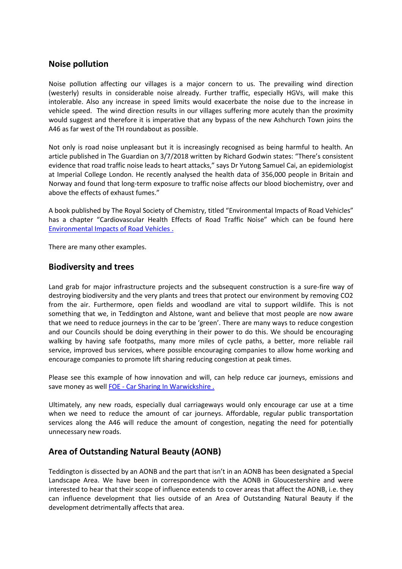### **Noise pollution**

Noise pollution affecting our villages is a major concern to us. The prevailing wind direction (westerly) results in considerable noise already. Further traffic, especially HGVs, will make this intolerable. Also any increase in speed limits would exacerbate the noise due to the increase in vehicle speed. The wind direction results in our villages suffering more acutely than the proximity would suggest and therefore it is imperative that any bypass of the new Ashchurch Town joins the A46 as far west of the TH roundabout as possible.

Not only is road noise unpleasant but it is increasingly recognised as being harmful to health. An article published in The Guardian on 3/7/2018 written by Richard Godwin states: "There's consistent evidence that road traffic noise leads to heart attacks," says Dr Yutong Samuel Cai, an epidemiologist at Imperial College London. He recently analysed the health data of 356,000 people in Britain and Norway and found that long-term exposure to traffic noise affects our blood biochemistry, over and above the effects of exhaust fumes."

A book published by The Royal Society of Chemistry, titled "Environmental Impacts of Road Vehicles" has a chapter "Cardiovascular Health Effects of Road Traffic Noise" which can be found here [Environmental Impacts of Road Vehicles](https://pubs.rsc.org/en/content/chapter/bk9781782628927-00107/978-1-78801-022-1) .

There are many other examples.

# **Biodiversity and trees**

Land grab for major infrastructure projects and the subsequent construction is a sure-fire way of destroying biodiversity and the very plants and trees that protect our environment by removing CO2 from the air. Furthermore, open fields and woodland are vital to support wildlife. This is not something that we, in Teddington and Alstone, want and believe that most people are now aware that we need to reduce journeys in the car to be 'green'. There are many ways to reduce congestion and our Councils should be doing everything in their power to do this. We should be encouraging walking by having safe footpaths, many more miles of cycle paths, a better, more reliable rail service, improved bus services, where possible encouraging companies to allow home working and encourage companies to promote lift sharing reducing congestion at peak times.

Please see this example of how innovation and will, can help reduce car journeys, emissions and save money as well FOE - [Car Sharing In Warwickshire](https://takeclimateaction.uk/solutions/car-sharing-how-warwickshire-curbing-vehicle-emissions) .

Ultimately, any new roads, especially dual carriageways would only encourage car use at a time when we need to reduce the amount of car journeys. Affordable, regular public transportation services along the A46 will reduce the amount of congestion, negating the need for potentially unnecessary new roads.

# **Area of Outstanding Natural Beauty (AONB)**

Teddington is dissected by an AONB and the part that isn't in an AONB has been designated a Special Landscape Area. We have been in correspondence with the AONB in Gloucestershire and were interested to hear that their scope of influence extends to cover areas that affect the AONB, i.e. they can influence development that lies outside of an Area of Outstanding Natural Beauty if the development detrimentally affects that area.